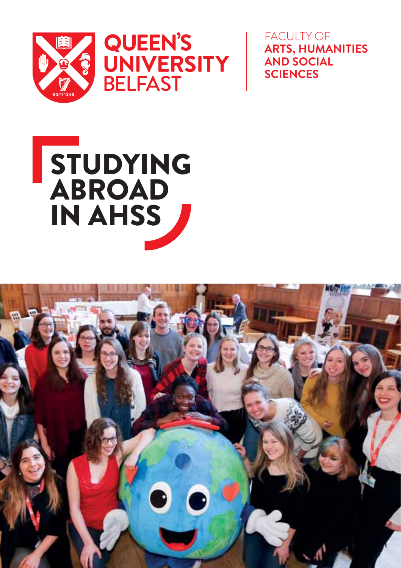

FACULTY OF **ARTS, HUMANITIES AND SOCIAL SCIENCES**



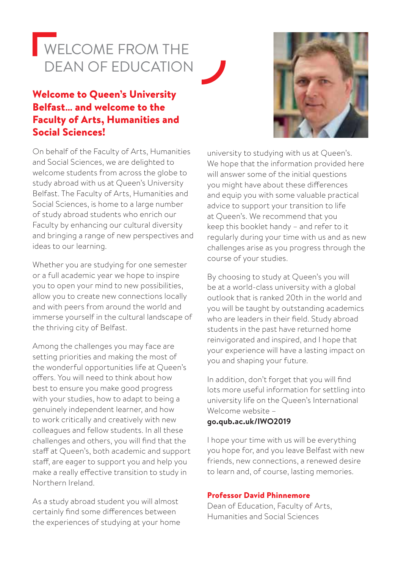# WELCOME FROM THE DEAN OF EDUCATION

## Welcome to Queen's University Belfast… and welcome to the Faculty of Arts, Humanities and Social Sciences!

On behalf of the Faculty of Arts, Humanities and Social Sciences, we are delighted to welcome students from across the globe to study abroad with us at Queen's University Belfast. The Faculty of Arts, Humanities and Social Sciences, is home to a large number of study abroad students who enrich our Faculty by enhancing our cultural diversity and bringing a range of new perspectives and ideas to our learning.

Whether you are studying for one semester or a full academic year we hope to inspire you to open your mind to new possibilities, allow you to create new connections locally and with peers from around the world and immerse yourself in the cultural landscape of the thriving city of Belfast.

Among the challenges you may face are setting priorities and making the most of the wonderful opportunities life at Queen's offers. You will need to think about how best to ensure you make good progress with your studies, how to adapt to being a genuinely independent learner, and how to work critically and creatively with new colleagues and fellow students. In all these challenges and others, you will find that the staff at Queen's, both academic and support staff, are eager to support you and help you make a really effective transition to study in Northern Ireland.

As a study abroad student you will almost certainly find some differences between the experiences of studying at your home



university to studying with us at Queen's. We hope that the information provided here will answer some of the initial questions you might have about these differences and equip you with some valuable practical advice to support your transition to life at Queen's. We recommend that you keep this booklet handy – and refer to it regularly during your time with us and as new challenges arise as you progress through the course of your studies.

By choosing to study at Queen's you will be at a world-class university with a global outlook that is ranked 20th in the world and you will be taught by outstanding academics who are leaders in their field. Study abroad students in the past have returned home reinvigorated and inspired, and I hope that your experience will have a lasting impact on you and shaping your future.

In addition, don't forget that you will find lots more useful information for settling into university life on the Queen's International Welcome website –

#### **go.qub.ac.uk/IWO2019**

I hope your time with us will be everything you hope for, and you leave Belfast with new friends, new connections, a renewed desire to learn and, of course, lasting memories.

#### Professor David Phinnemore

Dean of Education, Faculty of Arts, Humanities and Social Sciences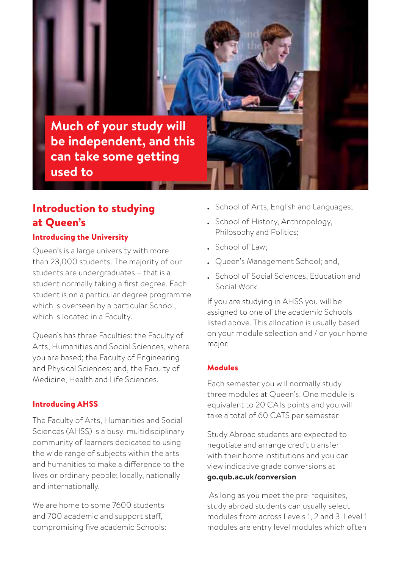

# Introduction to studying at Queen's

#### Introducing the University

Queen's is a large university with more than 23,000 students. The majority of our students are undergraduates – that is a student normally taking a first degree. Each student is on a particular degree programme which is overseen by a particular School, which is located in a Faculty.

Queen's has three Faculties: the Faculty of Arts, Humanities and Social Sciences, where you are based; the Faculty of Engineering and Physical Sciences; and, the Faculty of Medicine, Health and Life Sciences.

#### Introducing AHSS

The Faculty of Arts, Humanities and Social Sciences (AHSS) is a busy, multidisciplinary community of learners dedicated to using the wide range of subjects within the arts and humanities to make a difference to the lives or ordinary people; locally, nationally and internationally.

We are home to some 7600 students and 700 academic and support staff, compromising five academic Schools:

- **.** School of Arts, English and Languages;
- **.** School of History, Anthropology, Philosophy and Politics;
- **.** School of Law;
- **.** Queen's Management School; and,
- **.** School of Social Sciences, Education and Social Work.

If you are studying in AHSS you will be assigned to one of the academic Schools listed above. This allocation is usually based on your module selection and / or your home major.

#### Modules

Each semester you will normally study three modules at Queen's. One module is equivalent to 20 CATs points and you will take a total of 60 CATS per semester.

Study Abroad students are expected to negotiate and arrange credit transfer with their home institutions and you can view indicative grade conversions at **go.qub.ac.uk/conversion**

 As long as you meet the pre-requisites, study abroad students can usually select modules from across Levels 1, 2 and 3. Level 1 modules are entry level modules which often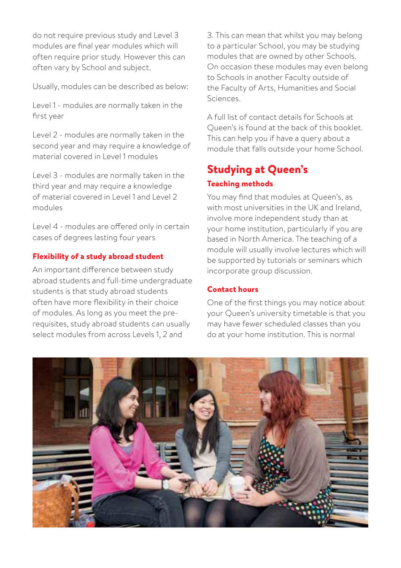do not require previous study and Level 3 modules are final year modules which will often require prior study. However this can often vary by School and subject.

Usually, modules can be described as below:

Level 1 - modules are normally taken in the first year

Level 2 - modules are normally taken in the second year and may require a knowledge of material covered in Level 1 modules

Level 3 - modules are normally taken in the third year and may require a knowledge of material covered in Level 1 and Level 2 modules

Level 4 - modules are offered only in certain cases of degrees lasting four years

#### Flexibility of a study abroad student

An important difference between study abroad students and full-time undergraduate students is that study abroad students often have more flexibility in their choice of modules. As long as you meet the prerequisites, study abroad students can usually select modules from across Levels 1, 2 and

3. This can mean that whilst you may belong to a particular School, you may be studying modules that are owned by other Schools. On occasion these modules may even belong to Schools in another Faculty outside of the Faculty of Arts, Humanities and Social Sciences.

A full list of contact details for Schools at Queen's is found at the back of this booklet. This can help you if have a query about a module that falls outside your home School.

# Studying at Queen's Teaching methods

You may find that modules at Queen's, as with most universities in the UK and Ireland, involve more independent study than at your home institution, particularly if you are based in North America. The teaching of a module will usually involve lectures which will be supported by tutorials or seminars which incorporate group discussion.

#### Contact hours

One of the first things you may notice about your Queen's university timetable is that you may have fewer scheduled classes than you do at your home institution. This is normal

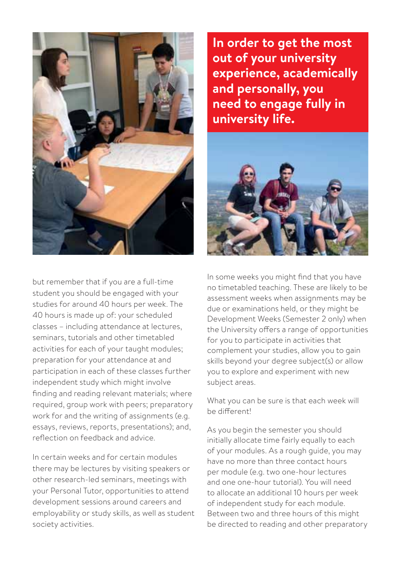

but remember that if you are a full-time student you should be engaged with your studies for around 40 hours per week. The 40 hours is made up of: your scheduled classes – including attendance at lectures, seminars, tutorials and other timetabled activities for each of your taught modules; preparation for your attendance at and participation in each of these classes further independent study which might involve finding and reading relevant materials; where required, group work with peers; preparatory work for and the writing of assignments (e.g. essays, reviews, reports, presentations); and, reflection on feedback and advice.

In certain weeks and for certain modules there may be lectures by visiting speakers or other research-led seminars, meetings with your Personal Tutor, opportunities to attend development sessions around careers and employability or study skills, as well as student society activities.

**In order to get the most out of your university experience, academically and personally, you need to engage fully in university life.**



In some weeks you might find that you have no timetabled teaching. These are likely to be assessment weeks when assignments may be due or examinations held, or they might be Development Weeks (Semester 2 only) when the University offers a range of opportunities for you to participate in activities that complement your studies, allow you to gain skills beyond your degree subject(s) or allow you to explore and experiment with new subject areas.

What you can be sure is that each week will be different!

As you begin the semester you should initially allocate time fairly equally to each of your modules. As a rough guide, you may have no more than three contact hours per module (e.g. two one-hour lectures and one one-hour tutorial). You will need to allocate an additional 10 hours per week of independent study for each module. Between two and three hours of this might be directed to reading and other preparatory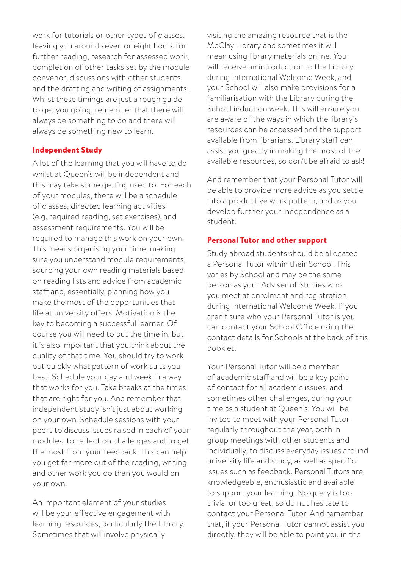work for tutorials or other types of classes, leaving you around seven or eight hours for further reading, research for assessed work, completion of other tasks set by the module convenor, discussions with other students and the drafting and writing of assignments. Whilst these timings are just a rough guide to get you going, remember that there will always be something to do and there will always be something new to learn.

#### Independent Study

A lot of the learning that you will have to do whilst at Queen's will be independent and this may take some getting used to. For each of your modules, there will be a schedule of classes, directed learning activities (e.g. required reading, set exercises), and assessment requirements. You will be required to manage this work on your own. This means organising your time, making sure you understand module requirements, sourcing your own reading materials based on reading lists and advice from academic staff and, essentially, planning how you make the most of the opportunities that life at university offers. Motivation is the key to becoming a successful learner. Of course you will need to put the time in, but it is also important that you think about the quality of that time. You should try to work out quickly what pattern of work suits you best. Schedule your day and week in a way that works for you. Take breaks at the times that are right for you. And remember that independent study isn't just about working on your own. Schedule sessions with your peers to discuss issues raised in each of your modules, to reflect on challenges and to get the most from your feedback. This can help you get far more out of the reading, writing and other work you do than you would on your own.

An important element of your studies will be your effective engagement with learning resources, particularly the Library. Sometimes that will involve physically

visiting the amazing resource that is the McClay Library and sometimes it will mean using library materials online. You will receive an introduction to the Library during International Welcome Week, and your School will also make provisions for a familiarisation with the Library during the School induction week. This will ensure you are aware of the ways in which the library's resources can be accessed and the support available from librarians. Library staff can assist you greatly in making the most of the available resources, so don't be afraid to ask!

And remember that your Personal Tutor will be able to provide more advice as you settle into a productive work pattern, and as you develop further your independence as a student.

#### Personal Tutor and other support

Study abroad students should be allocated a Personal Tutor within their School. This varies by School and may be the same person as your Adviser of Studies who you meet at enrolment and registration during International Welcome Week. If you aren't sure who your Personal Tutor is you can contact your School Office using the contact details for Schools at the back of this booklet.

Your Personal Tutor will be a member of academic staff and will be a key point of contact for all academic issues, and sometimes other challenges, during your time as a student at Queen's. You will be invited to meet with your Personal Tutor regularly throughout the year, both in group meetings with other students and individually, to discuss everyday issues around university life and study, as well as specific issues such as feedback. Personal Tutors are knowledgeable, enthusiastic and available to support your learning. No query is too trivial or too great, so do not hesitate to contact your Personal Tutor. And remember that, if your Personal Tutor cannot assist you directly, they will be able to point you in the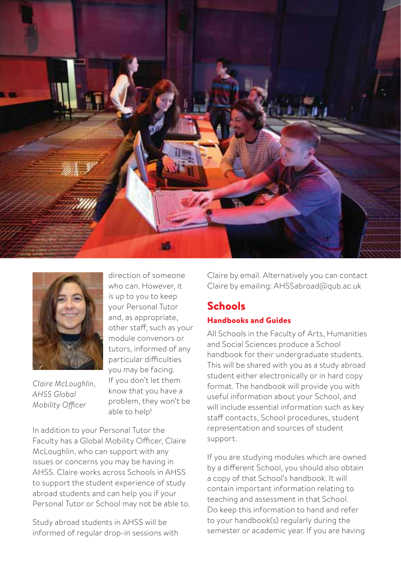



*Claire McLoughlin, Mobility Officer Mobility Officer*

direction of someone who can. However, it is up to you to keep your Personal Tutor and, as appropriate, other staff, such as your module convenors or tutors, informed of any particular difficulties you may be facing. If you don't let them know that you have a problem, they won't be able to help!

In addition to your Personal Tutor the Faculty has a Global Mobility Officer, Claire McLoughlin, who can support with any issues or concerns you may be having in AHSS. Claire works across Schools in AHSS to support the student experience of study abroad students and can help you if your Personal Tutor or School may not be able to.

Study abroad students in AHSS will be informed of regular drop-in sessions with Claire by email. Alternatively you can contact Claire by emailing: AHSSabroad@qub.ac.uk

# **Schools**

#### Handbooks and Guides

All Schools in the Faculty of Arts, Humanities and Social Sciences produce a School handbook for their undergraduate students. This will be shared with you as a study abroad student either electronically or in hard copy format. The handbook will provide you with useful information about your School, and will include essential information such as key staff contacts, School procedures, student representation and sources of student support.

If you are studying modules which are owned by a different School, you should also obtain a copy of that School's handbook. It will contain important information relating to teaching and assessment in that School. Do keep this information to hand and refer to your handbook(s) regularly during the semester or academic year. If you are having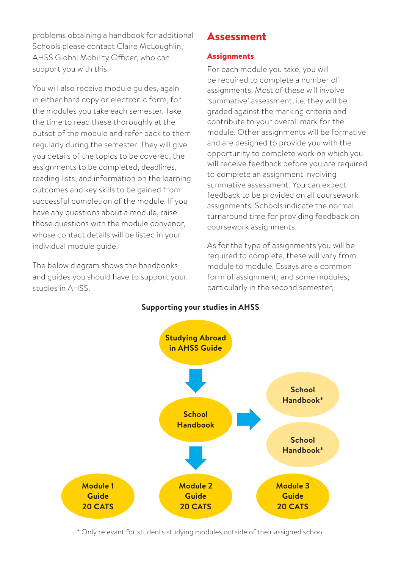problems obtaining a handbook for additional Schools please contact Claire McLoughlin, AHSS Global Mobility Officer, who can support you with this.

You will also receive module guides, again in either hard copy or electronic form, for the modules you take each semester. Take the time to read these thoroughly at the outset of the module and refer back to them regularly during the semester. They will give you details of the topics to be covered, the assignments to be completed, deadlines, reading lists, and information on the learning outcomes and key skills to be gained from successful completion of the module. If you have any questions about a module, raise those questions with the module convenor, whose contact details will be listed in your individual module guide.

The below diagram shows the handbooks and guides you should have to support your studies in AHSS.

## Assessment

#### **Assignments**

For each module you take, you will be required to complete a number of assignments. Most of these will involve 'summative' assessment, i.e. they will be graded against the marking criteria and contribute to your overall mark for the module. Other assignments will be formative and are designed to provide you with the opportunity to complete work on which you will receive feedback before you are required to complete an assignment involving summative assessment. You can expect feedback to be provided on all coursework assignments. Schools indicate the normal turnaround time for providing feedback on coursework assignments.

As for the type of assignments you will be required to complete, these will vary from module to module. Essays are a common form of assignment; and some modules, particularly in the second semester,



#### **Supporting your studies in AHSS**

\* Only relevant for students studying modules outside of their assigned school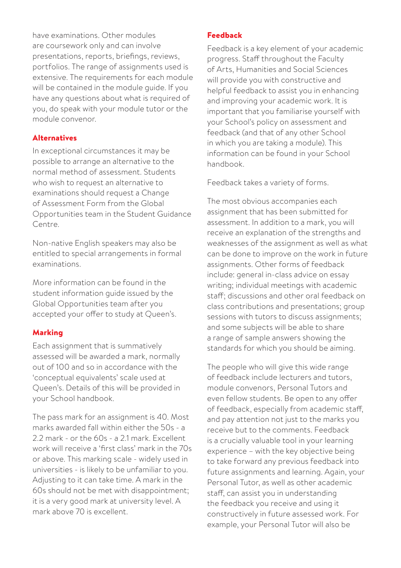have examinations. Other modules are coursework only and can involve presentations, reports, briefings, reviews, portfolios. The range of assignments used is extensive. The requirements for each module will be contained in the module guide. If you have any questions about what is required of you, do speak with your module tutor or the module convenor.

#### Alternatives

In exceptional circumstances it may be possible to arrange an alternative to the normal method of assessment. Students who wish to request an alternative to examinations should request a Change of Assessment Form from the Global Opportunities team in the Student Guidance Centre.

Non-native English speakers may also be entitled to special arrangements in formal examinations.

More information can be found in the student information guide issued by the Global Opportunities team after you accepted your offer to study at Queen's.

#### Marking

Each assignment that is summatively assessed will be awarded a mark, normally out of 100 and so in accordance with the 'conceptual equivalents' scale used at Queen's. Details of this will be provided in your School handbook.

The pass mark for an assignment is 40. Most marks awarded fall within either the 50s - a 2.2 mark - or the 60s - a 21 mark. Excellent. work will receive a 'first class' mark in the 70s or above. This marking scale - widely used in universities - is likely to be unfamiliar to you. Adjusting to it can take time. A mark in the 60s should not be met with disappointment; it is a very good mark at university level. A mark above 70 is excellent.

#### Feedback

Feedback is a key element of your academic progress. Staff throughout the Faculty of Arts, Humanities and Social Sciences will provide you with constructive and helpful feedback to assist you in enhancing and improving your academic work. It is important that you familiarise yourself with your School's policy on assessment and feedback (and that of any other School in which you are taking a module). This information can be found in your School handbook.

Feedback takes a variety of forms.

The most obvious accompanies each assignment that has been submitted for assessment. In addition to a mark, you will receive an explanation of the strengths and weaknesses of the assignment as well as what can be done to improve on the work in future assignments. Other forms of feedback include: general in-class advice on essay writing; individual meetings with academic staff; discussions and other oral feedback on class contributions and presentations; group sessions with tutors to discuss assignments; and some subjects will be able to share a range of sample answers showing the standards for which you should be aiming.

The people who will give this wide range of feedback include lecturers and tutors, module convenors, Personal Tutors and even fellow students. Be open to any offer of feedback, especially from academic staff, and pay attention not just to the marks you receive but to the comments. Feedback is a crucially valuable tool in your learning experience – with the key objective being to take forward any previous feedback into future assignments and learning. Again, your Personal Tutor, as well as other academic staff, can assist you in understanding the feedback you receive and using it constructively in future assessed work. For example, your Personal Tutor will also be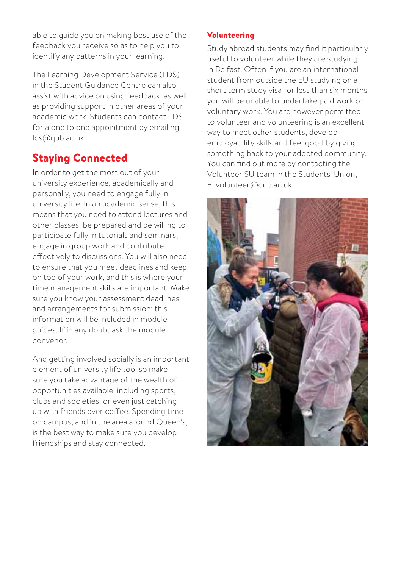able to guide you on making best use of the feedback you receive so as to help you to identify any patterns in your learning.

The Learning Development Service (LDS) in the Student Guidance Centre can also assist with advice on using feedback, as well as providing support in other areas of your academic work. Students can contact LDS for a one to one appointment by emailing lds@qub.ac.uk

# Staying Connected

In order to get the most out of your university experience, academically and personally, you need to engage fully in university life. In an academic sense, this means that you need to attend lectures and other classes, be prepared and be willing to participate fully in tutorials and seminars, engage in group work and contribute effectively to discussions. You will also need to ensure that you meet deadlines and keep on top of your work, and this is where your time management skills are important. Make sure you know your assessment deadlines and arrangements for submission: this information will be included in module guides. If in any doubt ask the module convenor.

And getting involved socially is an important element of university life too, so make sure you take advantage of the wealth of opportunities available, including sports, clubs and societies, or even just catching up with friends over coffee. Spending time on campus, and in the area around Queen's, is the best way to make sure you develop friendships and stay connected.

#### Volunteering

Study abroad students may find it particularly useful to volunteer while they are studying in Belfast. Often if you are an international student from outside the EU studying on a short term study visa for less than six months you will be unable to undertake paid work or voluntary work. You are however permitted to volunteer and volunteering is an excellent way to meet other students, develop employability skills and feel good by giving something back to your adopted community. You can find out more by contacting the Volunteer SU team in the Students' Union, E: volunteer@qub.ac.uk

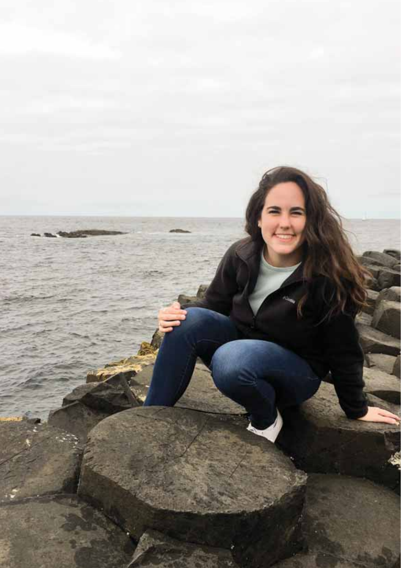